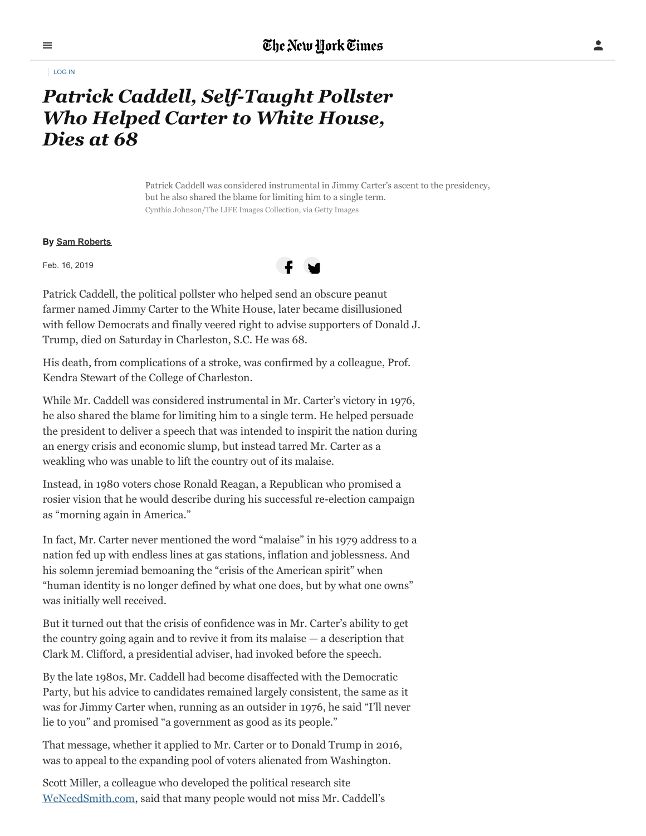[LOG](https://myaccount.nytimes.com/auth/login?response_type=cookie&client_id=vi) IN

## *Patrick Caddell, Self-Taught Pollster Who Helped Carter to White House, Dies at 68*

Patrick Caddell was considered instrumental in Jimmy Carter's ascent to the presidency, but he also shared the blame for limiting him to a single term. Cynthia Johnson/The LIFE Images Collection, via Getty Images

## **By Sam [Roberts](https://www.nytimes.com/by/sam-roberts)**

Feb. 16, 2019



Patrick Caddell, the political pollster who helped send an obscure peanut farmer named Jimmy Carter to the White House, later became disillusioned with fellow Democrats and finally veered right to advise supporters of Donald J. Trump, died on Saturday in Charleston, S.C. He was 68.

His death, from complications of a stroke, was confirmed by a colleague, Prof. Kendra Stewart of the College of Charleston.

While Mr. Caddell was considered instrumental in Mr. Carter's victory in 1976, he also shared the blame for limiting him to a single term. He helped persuade the president to deliver a speech that was intended to inspirit the nation during an energy crisis and economic slump, but instead tarred Mr. Carter as a weakling who was unable to lift the country out of its malaise.

Instead, in 1980 voters chose Ronald Reagan, a Republican who promised a rosier vision that he would describe during his successful re-election campaign as "morning again in America."

In fact, Mr. Carter never mentioned the word "malaise" in his 1979 address to a nation fed up with endless lines at gas stations, inflation and joblessness. And his solemn jeremiad bemoaning the "crisis of the American spirit" when "human identity is no longer defined by what one does, but by what one owns" was initially well received.

But it turned out that the crisis of confidence was in Mr. Carter's ability to get the country going again and to revive it from its malaise — a description that Clark M. Clifford, a presidential adviser, had invoked before the speech.

By the late 1980s, Mr. Caddell had become disaffected with the Democratic Party, but his advice to candidates remained largely consistent, the same as it was for Jimmy Carter when, running as an outsider in 1976, he said "I'll never lie to you" and promised "a government as good as its people."

That message, whether it applied to Mr. Carter or to Donald Trump in 2016, was to appeal to the expanding pool of voters alienated from Washington.

Scott Miller, a colleague who developed the political research site [WeNeedSmith.com](http://weneedsmith.com/), said that many people would not miss Mr. Caddell's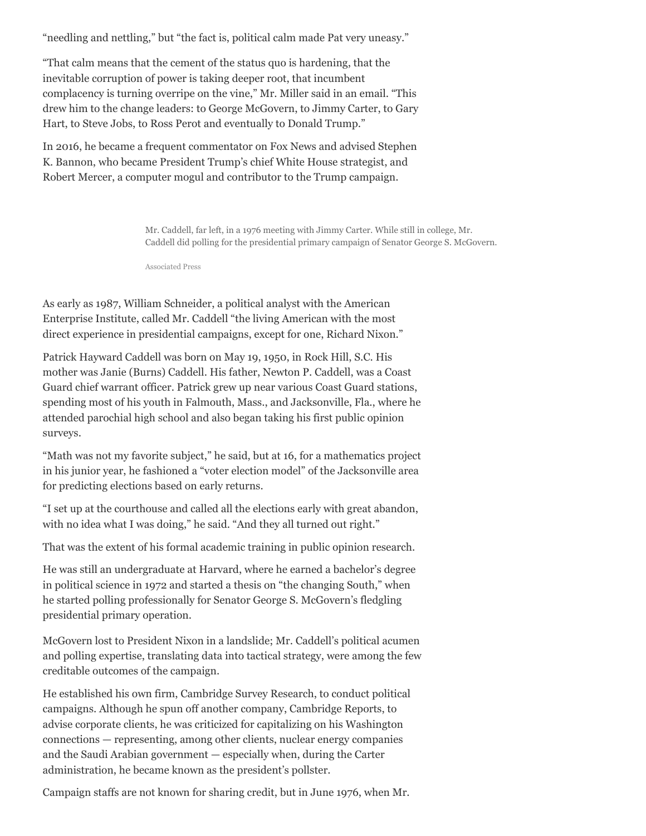"needling and nettling," but "the fact is, political calm made Pat very uneasy."

"That calm means that the cement of the status quo is hardening, that the inevitable corruption of power is taking deeper root, that incumbent complacency is turning overripe on the vine," Mr. Miller said in an email. "This drew him to the change leaders: to George McGovern, to Jimmy Carter, to Gary Hart, to Steve Jobs, to Ross Perot and eventually to Donald Trump."

In 2016, he became a frequent commentator on Fox News and advised Stephen K. Bannon, who became President Trump's chief White House strategist, and Robert Mercer, a computer mogul and contributor to the Trump campaign.

> Mr. Caddell, far left, in a 1976 meeting with Jimmy Carter. While still in college, Mr. Caddell did polling for the presidential primary campaign of Senator George S. McGovern.

Associated Press

As early as 1987, William Schneider, a political analyst with the American Enterprise Institute, called Mr. Caddell "the living American with the most direct experience in presidential campaigns, except for one, Richard Nixon."

Patrick Hayward Caddell was born on May 19, 1950, in Rock Hill, S.C. His mother was Janie (Burns) Caddell. His father, Newton P. Caddell, was a Coast Guard chief warrant officer. Patrick grew up near various Coast Guard stations, spending most of his youth in Falmouth, Mass., and Jacksonville, Fla., where he attended parochial high school and also began taking his first public opinion surveys.

"Math was not my favorite subject," he said, but at 16, for a mathematics project in his junior year, he fashioned a "voter election model" of the Jacksonville area for predicting elections based on early returns.

"I set up at the courthouse and called all the elections early with great abandon, with no idea what I was doing," he said. "And they all turned out right."

That was the extent of his formal academic training in public opinion research.

He was still an undergraduate at Harvard, where he earned a bachelor's degree in political science in 1972 and started a thesis on "the changing South," when he started polling professionally for Senator George S. McGovern's fledgling presidential primary operation.

McGovern lost to President Nixon in a landslide; Mr. Caddell's political acumen and polling expertise, translating data into tactical strategy, were among the few creditable outcomes of the campaign.

He established his own firm, Cambridge Survey Research, to conduct political campaigns. Although he spun off another company, Cambridge Reports, to advise corporate clients, he was criticized for capitalizing on his Washington connections — representing, among other clients, nuclear energy companies and the Saudi Arabian government — especially when, during the Carter administration, he became known as the president's pollster.

Campaign staffs are not known for sharing credit, but in June 1976, when Mr.